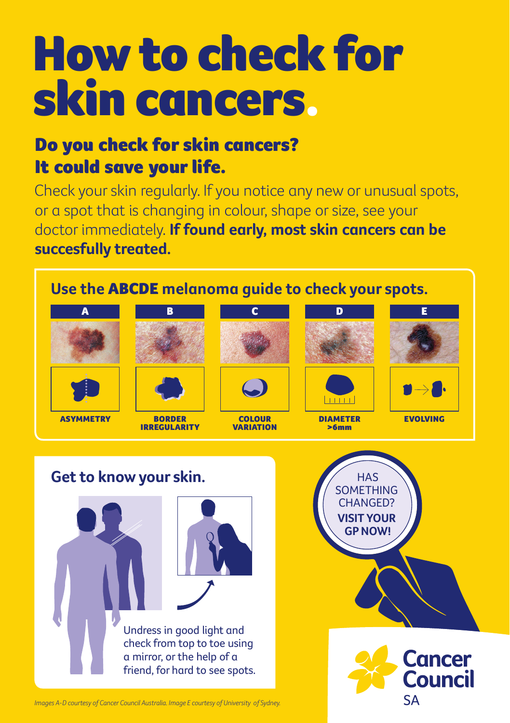# How to check for skin cancers.

# Do you check for skin cancers? It could save your life.

Check your skin regularly. If you notice any new or unusual spots, or a spot that is changing in colour, shape or size, see your doctor immediately. **If found early, most skin cancers can be succesfully treated.**



*Images A-D courtesy of Cancer Council Australia. Image E courtesy of University of Sydney.*